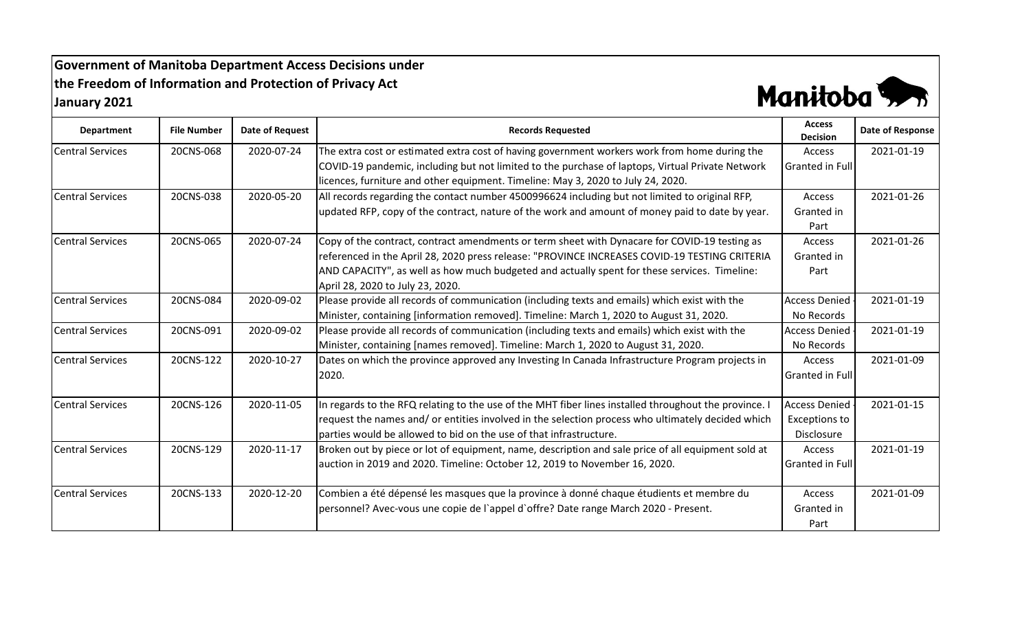## **Government of Manitoba Department Access Decisions under the Freedom of Information and Protection of Privacy Act January 2021**



| <b>Department</b>       | <b>File Number</b> | <b>Date of Request</b> | <b>Records Requested</b>                                                                              | <b>Access</b><br><b>Decision</b> | Date of Response |
|-------------------------|--------------------|------------------------|-------------------------------------------------------------------------------------------------------|----------------------------------|------------------|
| <b>Central Services</b> | 20CNS-068          | 2020-07-24             | The extra cost or estimated extra cost of having government workers work from home during the         | Access                           | 2021-01-19       |
|                         |                    |                        | COVID-19 pandemic, including but not limited to the purchase of laptops, Virtual Private Network      | Granted in Full                  |                  |
|                         |                    |                        | licences, furniture and other equipment. Timeline: May 3, 2020 to July 24, 2020.                      |                                  |                  |
| <b>Central Services</b> | 20CNS-038          | 2020-05-20             | All records regarding the contact number 4500996624 including but not limited to original RFP,        | Access                           | 2021-01-26       |
|                         |                    |                        | updated RFP, copy of the contract, nature of the work and amount of money paid to date by year.       | Granted in                       |                  |
|                         |                    |                        |                                                                                                       | Part                             |                  |
| <b>Central Services</b> | 20CNS-065          | 2020-07-24             | Copy of the contract, contract amendments or term sheet with Dynacare for COVID-19 testing as         | <b>Access</b>                    | 2021-01-26       |
|                         |                    |                        | referenced in the April 28, 2020 press release: "PROVINCE INCREASES COVID-19 TESTING CRITERIA         | Granted in                       |                  |
|                         |                    |                        | AND CAPACITY", as well as how much budgeted and actually spent for these services. Timeline:          | Part                             |                  |
|                         |                    |                        | April 28, 2020 to July 23, 2020.                                                                      |                                  |                  |
| <b>Central Services</b> | 20CNS-084          | 2020-09-02             | Please provide all records of communication (including texts and emails) which exist with the         | <b>Access Denied</b>             | 2021-01-19       |
|                         |                    |                        | Minister, containing [information removed]. Timeline: March 1, 2020 to August 31, 2020.               | No Records                       |                  |
| <b>Central Services</b> | 20CNS-091          | 2020-09-02             | Please provide all records of communication (including texts and emails) which exist with the         | <b>Access Denied</b>             | 2021-01-19       |
|                         |                    |                        | Minister, containing [names removed]. Timeline: March 1, 2020 to August 31, 2020.                     | No Records                       |                  |
| <b>Central Services</b> | 20CNS-122          | 2020-10-27             | Dates on which the province approved any Investing In Canada Infrastructure Program projects in       | Access                           | 2021-01-09       |
|                         |                    |                        | 2020.                                                                                                 | Granted in Full                  |                  |
|                         |                    |                        |                                                                                                       |                                  |                  |
| <b>Central Services</b> | 20CNS-126          | 2020-11-05             | In regards to the RFQ relating to the use of the MHT fiber lines installed throughout the province. I | <b>Access Denied</b>             | 2021-01-15       |
|                         |                    |                        | request the names and/ or entities involved in the selection process who ultimately decided which     | <b>Exceptions to</b>             |                  |
|                         |                    |                        | parties would be allowed to bid on the use of that infrastructure.                                    | Disclosure                       |                  |
| <b>Central Services</b> | 20CNS-129          | 2020-11-17             | Broken out by piece or lot of equipment, name, description and sale price of all equipment sold at    | Access                           | 2021-01-19       |
|                         |                    |                        | auction in 2019 and 2020. Timeline: October 12, 2019 to November 16, 2020.                            | Granted in Full                  |                  |
|                         |                    |                        |                                                                                                       |                                  |                  |
| <b>Central Services</b> | 20CNS-133          | 2020-12-20             | Combien a été dépensé les masques que la province à donné chaque étudients et membre du               | <b>Access</b>                    | 2021-01-09       |
|                         |                    |                        | personnel? Avec-vous une copie de l'appel d'offre? Date range March 2020 - Present.                   | Granted in                       |                  |
|                         |                    |                        |                                                                                                       | Part                             |                  |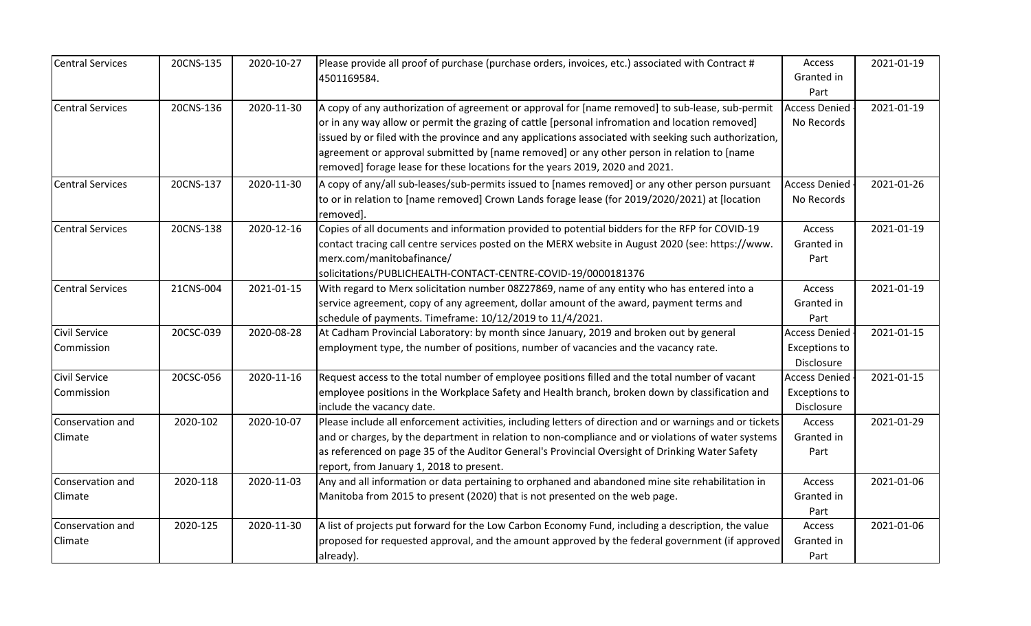| <b>Central Services</b>            | 20CNS-135 | 2020-10-27 | Please provide all proof of purchase (purchase orders, invoices, etc.) associated with Contract #<br>4501169584.                                                                                                                                                                                                                                                                                                                                                                           | Access<br>Granted in<br>Part                               | 2021-01-19 |
|------------------------------------|-----------|------------|--------------------------------------------------------------------------------------------------------------------------------------------------------------------------------------------------------------------------------------------------------------------------------------------------------------------------------------------------------------------------------------------------------------------------------------------------------------------------------------------|------------------------------------------------------------|------------|
| <b>Central Services</b>            | 20CNS-136 | 2020-11-30 | A copy of any authorization of agreement or approval for [name removed] to sub-lease, sub-permit<br>or in any way allow or permit the grazing of cattle [personal infromation and location removed]<br>issued by or filed with the province and any applications associated with seeking such authorization,<br>agreement or approval submitted by [name removed] or any other person in relation to [name<br>removed] forage lease for these locations for the years 2019, 2020 and 2021. | <b>Access Denied</b><br>No Records                         | 2021-01-19 |
| <b>Central Services</b>            | 20CNS-137 | 2020-11-30 | A copy of any/all sub-leases/sub-permits issued to [names removed] or any other person pursuant<br>to or in relation to [name removed] Crown Lands forage lease (for 2019/2020/2021) at [location<br>removed].                                                                                                                                                                                                                                                                             | <b>Access Denied</b><br>No Records                         | 2021-01-26 |
| <b>Central Services</b>            | 20CNS-138 | 2020-12-16 | Copies of all documents and information provided to potential bidders for the RFP for COVID-19<br>contact tracing call centre services posted on the MERX website in August 2020 (see: https://www.<br>merx.com/manitobafinance/<br>solicitations/PUBLICHEALTH-CONTACT-CENTRE-COVID-19/0000181376                                                                                                                                                                                          | Access<br>Granted in<br>Part                               | 2021-01-19 |
| <b>Central Services</b>            | 21CNS-004 | 2021-01-15 | With regard to Merx solicitation number 08Z27869, name of any entity who has entered into a<br>service agreement, copy of any agreement, dollar amount of the award, payment terms and<br>schedule of payments. Timeframe: 10/12/2019 to 11/4/2021.                                                                                                                                                                                                                                        | Access<br>Granted in<br>Part                               | 2021-01-19 |
| <b>Civil Service</b><br>Commission | 20CSC-039 | 2020-08-28 | At Cadham Provincial Laboratory: by month since January, 2019 and broken out by general<br>employment type, the number of positions, number of vacancies and the vacancy rate.                                                                                                                                                                                                                                                                                                             | <b>Access Denied</b><br><b>Exceptions to</b><br>Disclosure | 2021-01-15 |
| <b>Civil Service</b><br>Commission | 20CSC-056 | 2020-11-16 | Request access to the total number of employee positions filled and the total number of vacant<br>employee positions in the Workplace Safety and Health branch, broken down by classification and<br>include the vacancy date.                                                                                                                                                                                                                                                             | <b>Access Denied</b><br><b>Exceptions to</b><br>Disclosure | 2021-01-15 |
| Conservation and<br>Climate        | 2020-102  | 2020-10-07 | Please include all enforcement activities, including letters of direction and or warnings and or tickets<br>and or charges, by the department in relation to non-compliance and or violations of water systems<br>as referenced on page 35 of the Auditor General's Provincial Oversight of Drinking Water Safety<br>report, from January 1, 2018 to present.                                                                                                                              | Access<br>Granted in<br>Part                               | 2021-01-29 |
| Conservation and<br>Climate        | 2020-118  | 2020-11-03 | Any and all information or data pertaining to orphaned and abandoned mine site rehabilitation in<br>Manitoba from 2015 to present (2020) that is not presented on the web page.                                                                                                                                                                                                                                                                                                            | Access<br>Granted in<br>Part                               | 2021-01-06 |
| Conservation and<br>Climate        | 2020-125  | 2020-11-30 | A list of projects put forward for the Low Carbon Economy Fund, including a description, the value<br>proposed for requested approval, and the amount approved by the federal government (if approved<br>already).                                                                                                                                                                                                                                                                         | Access<br>Granted in<br>Part                               | 2021-01-06 |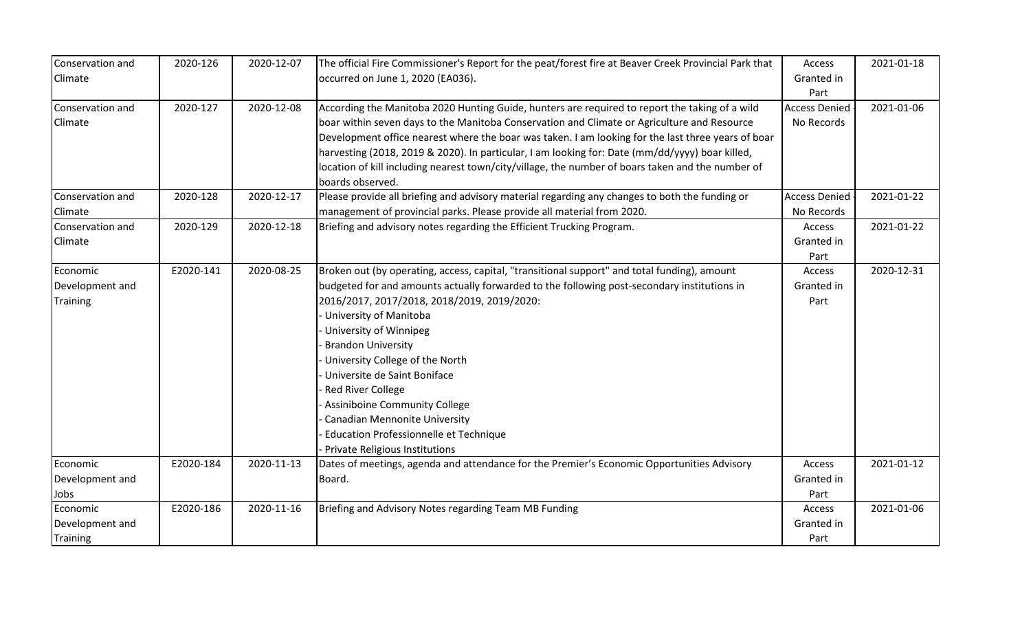| Conservation and<br>Climate                    | 2020-126  | 2020-12-07 | The official Fire Commissioner's Report for the peat/forest fire at Beaver Creek Provincial Park that<br>occurred on June 1, 2020 (EA036).                                                                                                                                                                                                                                                                                                                                                                                                                                             | Access<br>Granted in               | 2021-01-18 |
|------------------------------------------------|-----------|------------|----------------------------------------------------------------------------------------------------------------------------------------------------------------------------------------------------------------------------------------------------------------------------------------------------------------------------------------------------------------------------------------------------------------------------------------------------------------------------------------------------------------------------------------------------------------------------------------|------------------------------------|------------|
|                                                |           |            |                                                                                                                                                                                                                                                                                                                                                                                                                                                                                                                                                                                        | Part                               |            |
| Conservation and<br>Climate                    | 2020-127  | 2020-12-08 | According the Manitoba 2020 Hunting Guide, hunters are required to report the taking of a wild<br>boar within seven days to the Manitoba Conservation and Climate or Agriculture and Resource<br>Development office nearest where the boar was taken. I am looking for the last three years of boar<br>harvesting (2018, 2019 & 2020). In particular, I am looking for: Date (mm/dd/yyyy) boar killed,<br>location of kill including nearest town/city/village, the number of boars taken and the number of<br>boards observed.                                                        | <b>Access Denied</b><br>No Records | 2021-01-06 |
| Conservation and                               | 2020-128  | 2020-12-17 | Please provide all briefing and advisory material regarding any changes to both the funding or                                                                                                                                                                                                                                                                                                                                                                                                                                                                                         | <b>Access Denied</b>               | 2021-01-22 |
| Climate                                        |           |            | management of provincial parks. Please provide all material from 2020.                                                                                                                                                                                                                                                                                                                                                                                                                                                                                                                 | No Records                         |            |
| Conservation and<br>Climate                    | 2020-129  | 2020-12-18 | Briefing and advisory notes regarding the Efficient Trucking Program.                                                                                                                                                                                                                                                                                                                                                                                                                                                                                                                  | Access<br>Granted in<br>Part       | 2021-01-22 |
| Economic<br>Development and<br><b>Training</b> | E2020-141 | 2020-08-25 | Broken out (by operating, access, capital, "transitional support" and total funding), amount<br>budgeted for and amounts actually forwarded to the following post-secondary institutions in<br>2016/2017, 2017/2018, 2018/2019, 2019/2020:<br>University of Manitoba<br>University of Winnipeg<br><b>Brandon University</b><br>University College of the North<br>Universite de Saint Boniface<br><b>Red River College</b><br><b>Assiniboine Community College</b><br><b>Canadian Mennonite University</b><br>Education Professionnelle et Technique<br>Private Religious Institutions | Access<br>Granted in<br>Part       | 2020-12-31 |
| Economic<br>Development and<br>Jobs            | E2020-184 | 2020-11-13 | Dates of meetings, agenda and attendance for the Premier's Economic Opportunities Advisory<br>Board.                                                                                                                                                                                                                                                                                                                                                                                                                                                                                   | Access<br>Granted in<br>Part       | 2021-01-12 |
| Economic<br>Development and<br><b>Training</b> | E2020-186 | 2020-11-16 | Briefing and Advisory Notes regarding Team MB Funding                                                                                                                                                                                                                                                                                                                                                                                                                                                                                                                                  | Access<br>Granted in<br>Part       | 2021-01-06 |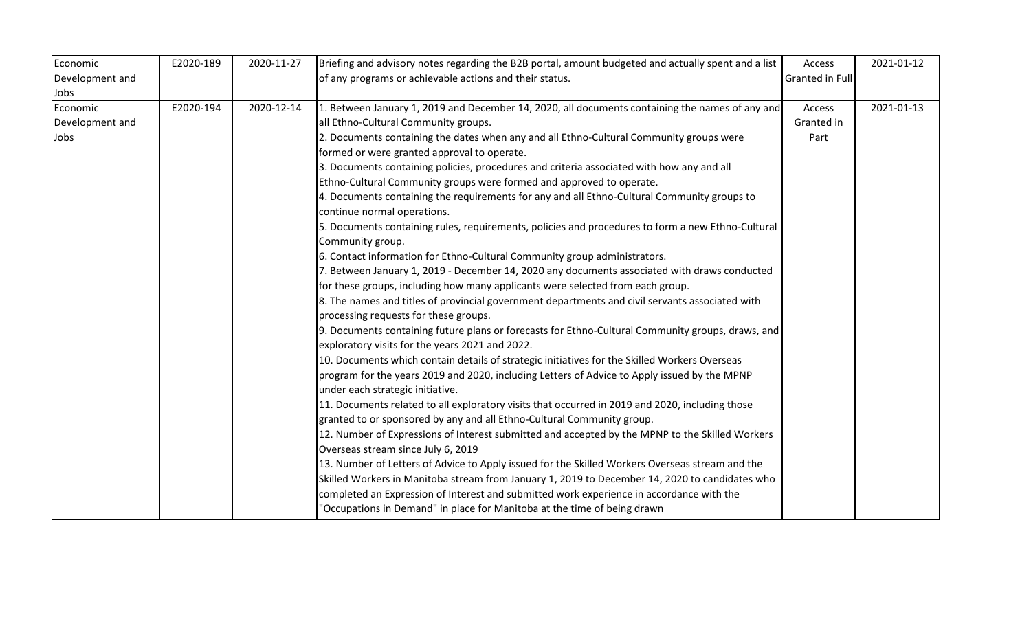| Economic        | E2020-189 | 2020-11-27 | Briefing and advisory notes regarding the B2B portal, amount budgeted and actually spent and a list | Access                 | 2021-01-12 |
|-----------------|-----------|------------|-----------------------------------------------------------------------------------------------------|------------------------|------------|
| Development and |           |            | of any programs or achievable actions and their status.                                             | <b>Granted in Full</b> |            |
| Jobs            |           |            |                                                                                                     |                        |            |
| Economic        | E2020-194 | 2020-12-14 | 1. Between January 1, 2019 and December 14, 2020, all documents containing the names of any and     | Access                 | 2021-01-13 |
| Development and |           |            | all Ethno-Cultural Community groups.                                                                | Granted in             |            |
| Jobs            |           |            | 2. Documents containing the dates when any and all Ethno-Cultural Community groups were             | Part                   |            |
|                 |           |            | formed or were granted approval to operate.                                                         |                        |            |
|                 |           |            | 3. Documents containing policies, procedures and criteria associated with how any and all           |                        |            |
|                 |           |            | Ethno-Cultural Community groups were formed and approved to operate.                                |                        |            |
|                 |           |            | 4. Documents containing the requirements for any and all Ethno-Cultural Community groups to         |                        |            |
|                 |           |            | continue normal operations.                                                                         |                        |            |
|                 |           |            | 5. Documents containing rules, requirements, policies and procedures to form a new Ethno-Cultural   |                        |            |
|                 |           |            | Community group.                                                                                    |                        |            |
|                 |           |            | 6. Contact information for Ethno-Cultural Community group administrators.                           |                        |            |
|                 |           |            | 7. Between January 1, 2019 - December 14, 2020 any documents associated with draws conducted        |                        |            |
|                 |           |            | for these groups, including how many applicants were selected from each group.                      |                        |            |
|                 |           |            | 8. The names and titles of provincial government departments and civil servants associated with     |                        |            |
|                 |           |            | processing requests for these groups.                                                               |                        |            |
|                 |           |            | 9. Documents containing future plans or forecasts for Ethno-Cultural Community groups, draws, and   |                        |            |
|                 |           |            | exploratory visits for the years 2021 and 2022.                                                     |                        |            |
|                 |           |            | 10. Documents which contain details of strategic initiatives for the Skilled Workers Overseas       |                        |            |
|                 |           |            | program for the years 2019 and 2020, including Letters of Advice to Apply issued by the MPNP        |                        |            |
|                 |           |            | under each strategic initiative.                                                                    |                        |            |
|                 |           |            | 11. Documents related to all exploratory visits that occurred in 2019 and 2020, including those     |                        |            |
|                 |           |            | granted to or sponsored by any and all Ethno-Cultural Community group.                              |                        |            |
|                 |           |            | 12. Number of Expressions of Interest submitted and accepted by the MPNP to the Skilled Workers     |                        |            |
|                 |           |            | Overseas stream since July 6, 2019                                                                  |                        |            |
|                 |           |            | 13. Number of Letters of Advice to Apply issued for the Skilled Workers Overseas stream and the     |                        |            |
|                 |           |            | Skilled Workers in Manitoba stream from January 1, 2019 to December 14, 2020 to candidates who      |                        |            |
|                 |           |            | completed an Expression of Interest and submitted work experience in accordance with the            |                        |            |
|                 |           |            | "Occupations in Demand" in place for Manitoba at the time of being drawn                            |                        |            |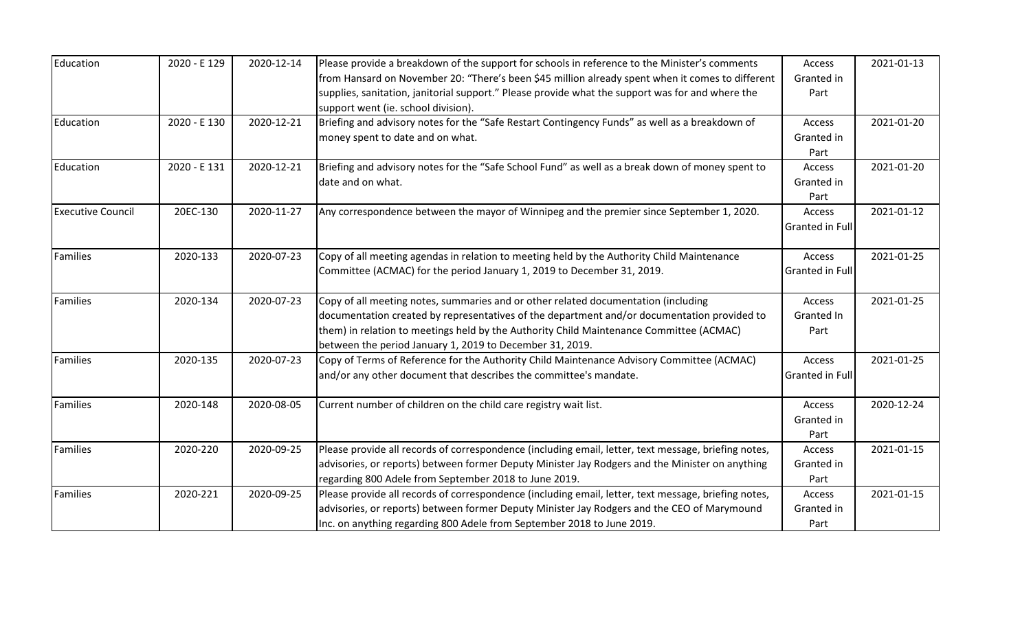| Education                | 2020 - E 129 | 2020-12-14 | Please provide a breakdown of the support for schools in reference to the Minister's comments        | Access          | 2021-01-13 |
|--------------------------|--------------|------------|------------------------------------------------------------------------------------------------------|-----------------|------------|
|                          |              |            | from Hansard on November 20: "There's been \$45 million already spent when it comes to different     | Granted in      |            |
|                          |              |            | supplies, sanitation, janitorial support." Please provide what the support was for and where the     | Part            |            |
|                          |              |            | support went (ie. school division).                                                                  |                 |            |
| Education                | 2020 - E 130 | 2020-12-21 | Briefing and advisory notes for the "Safe Restart Contingency Funds" as well as a breakdown of       | Access          | 2021-01-20 |
|                          |              |            | money spent to date and on what.                                                                     | Granted in      |            |
|                          |              |            |                                                                                                      | Part            |            |
| Education                | 2020 - E 131 | 2020-12-21 | Briefing and advisory notes for the "Safe School Fund" as well as a break down of money spent to     | Access          | 2021-01-20 |
|                          |              |            | date and on what.                                                                                    | Granted in      |            |
|                          |              |            |                                                                                                      | Part            |            |
| <b>Executive Council</b> | 20EC-130     | 2020-11-27 | Any correspondence between the mayor of Winnipeg and the premier since September 1, 2020.            | Access          | 2021-01-12 |
|                          |              |            |                                                                                                      | Granted in Full |            |
| <b>Families</b>          | 2020-133     | 2020-07-23 | Copy of all meeting agendas in relation to meeting held by the Authority Child Maintenance           | Access          | 2021-01-25 |
|                          |              |            | Committee (ACMAC) for the period January 1, 2019 to December 31, 2019.                               | Granted in Full |            |
| <b>Families</b>          | 2020-134     | 2020-07-23 | Copy of all meeting notes, summaries and or other related documentation (including                   | Access          | 2021-01-25 |
|                          |              |            | documentation created by representatives of the department and/or documentation provided to          | Granted In      |            |
|                          |              |            | them) in relation to meetings held by the Authority Child Maintenance Committee (ACMAC)              | Part            |            |
|                          |              |            | between the period January 1, 2019 to December 31, 2019.                                             |                 |            |
| Families                 | 2020-135     | 2020-07-23 | Copy of Terms of Reference for the Authority Child Maintenance Advisory Committee (ACMAC)            | Access          | 2021-01-25 |
|                          |              |            | and/or any other document that describes the committee's mandate.                                    | Granted in Full |            |
| Families                 | 2020-148     | 2020-08-05 | Current number of children on the child care registry wait list.                                     | Access          | 2020-12-24 |
|                          |              |            |                                                                                                      | Granted in      |            |
|                          |              |            |                                                                                                      | Part            |            |
| Families                 | 2020-220     | 2020-09-25 | Please provide all records of correspondence (including email, letter, text message, briefing notes, | Access          | 2021-01-15 |
|                          |              |            | advisories, or reports) between former Deputy Minister Jay Rodgers and the Minister on anything      | Granted in      |            |
|                          |              |            | regarding 800 Adele from September 2018 to June 2019.                                                | Part            |            |
| Families                 | 2020-221     | 2020-09-25 | Please provide all records of correspondence (including email, letter, text message, briefing notes, | Access          | 2021-01-15 |
|                          |              |            | advisories, or reports) between former Deputy Minister Jay Rodgers and the CEO of Marymound          | Granted in      |            |
|                          |              |            | Inc. on anything regarding 800 Adele from September 2018 to June 2019.                               | Part            |            |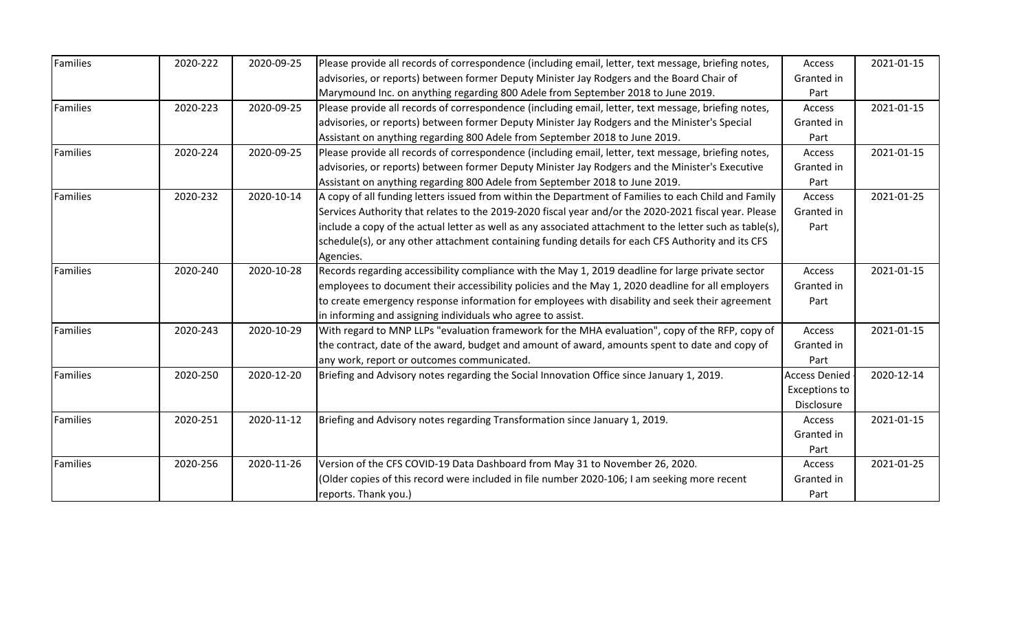| Families | 2020-222 | 2020-09-25 | Please provide all records of correspondence (including email, letter, text message, briefing notes,     | Access               | 2021-01-15 |
|----------|----------|------------|----------------------------------------------------------------------------------------------------------|----------------------|------------|
|          |          |            | advisories, or reports) between former Deputy Minister Jay Rodgers and the Board Chair of                | Granted in           |            |
|          |          |            | Marymound Inc. on anything regarding 800 Adele from September 2018 to June 2019.                         | Part                 |            |
| Families | 2020-223 | 2020-09-25 | Please provide all records of correspondence (including email, letter, text message, briefing notes,     | Access               | 2021-01-15 |
|          |          |            | advisories, or reports) between former Deputy Minister Jay Rodgers and the Minister's Special            | Granted in           |            |
|          |          |            | Assistant on anything regarding 800 Adele from September 2018 to June 2019.                              | Part                 |            |
| Families | 2020-224 | 2020-09-25 | Please provide all records of correspondence (including email, letter, text message, briefing notes,     | Access               | 2021-01-15 |
|          |          |            | advisories, or reports) between former Deputy Minister Jay Rodgers and the Minister's Executive          | Granted in           |            |
|          |          |            | Assistant on anything regarding 800 Adele from September 2018 to June 2019.                              | Part                 |            |
| Families | 2020-232 | 2020-10-14 | A copy of all funding letters issued from within the Department of Families to each Child and Family     | Access               | 2021-01-25 |
|          |          |            | Services Authority that relates to the 2019-2020 fiscal year and/or the 2020-2021 fiscal year. Please    | Granted in           |            |
|          |          |            | include a copy of the actual letter as well as any associated attachment to the letter such as table(s), | Part                 |            |
|          |          |            | schedule(s), or any other attachment containing funding details for each CFS Authority and its CFS       |                      |            |
|          |          |            | Agencies.                                                                                                |                      |            |
| Families | 2020-240 | 2020-10-28 | Records regarding accessibility compliance with the May 1, 2019 deadline for large private sector        | Access               | 2021-01-15 |
|          |          |            | employees to document their accessibility policies and the May 1, 2020 deadline for all employers        | Granted in           |            |
|          |          |            | to create emergency response information for employees with disability and seek their agreement          | Part                 |            |
|          |          |            | in informing and assigning individuals who agree to assist.                                              |                      |            |
| Families | 2020-243 | 2020-10-29 | With regard to MNP LLPs "evaluation framework for the MHA evaluation", copy of the RFP, copy of          | Access               | 2021-01-15 |
|          |          |            | the contract, date of the award, budget and amount of award, amounts spent to date and copy of           | Granted in           |            |
|          |          |            | any work, report or outcomes communicated.                                                               | Part                 |            |
| Families | 2020-250 | 2020-12-20 | Briefing and Advisory notes regarding the Social Innovation Office since January 1, 2019.                | <b>Access Denied</b> | 2020-12-14 |
|          |          |            |                                                                                                          | <b>Exceptions to</b> |            |
|          |          |            |                                                                                                          | Disclosure           |            |
| Families | 2020-251 | 2020-11-12 | Briefing and Advisory notes regarding Transformation since January 1, 2019.                              | Access               | 2021-01-15 |
|          |          |            |                                                                                                          | Granted in           |            |
|          |          |            |                                                                                                          | Part                 |            |
| Families | 2020-256 | 2020-11-26 | Version of the CFS COVID-19 Data Dashboard from May 31 to November 26, 2020.                             | Access               | 2021-01-25 |
|          |          |            | (Older copies of this record were included in file number 2020-106; I am seeking more recent             | Granted in           |            |
|          |          |            | reports. Thank you.)                                                                                     | Part                 |            |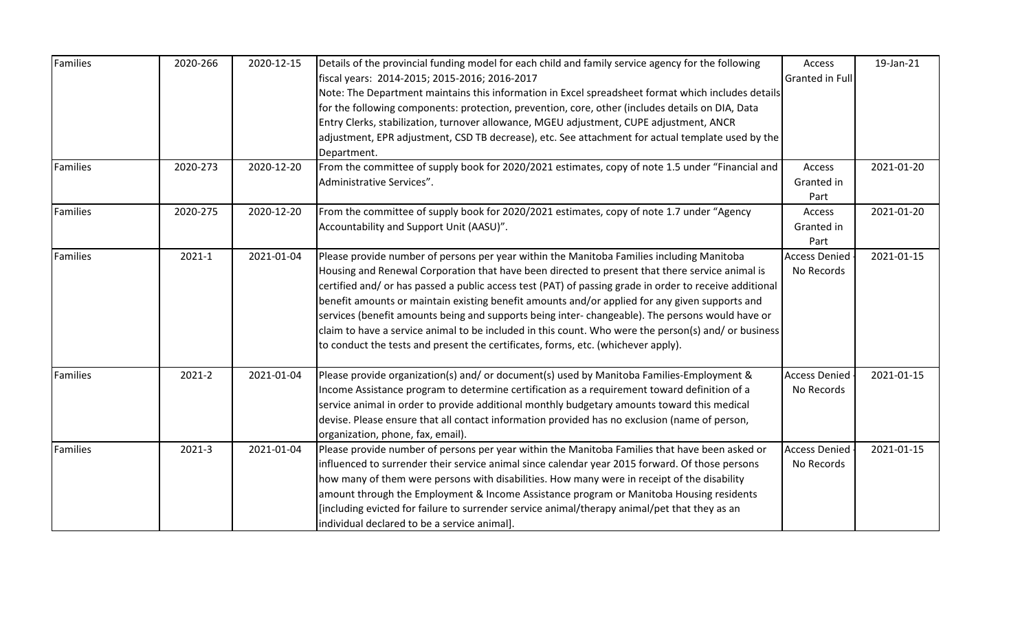| Families        | 2020-266   | 2020-12-15 | Details of the provincial funding model for each child and family service agency for the following      | Access                 | 19-Jan-21  |
|-----------------|------------|------------|---------------------------------------------------------------------------------------------------------|------------------------|------------|
|                 |            |            | fiscal years: 2014-2015; 2015-2016; 2016-2017                                                           | <b>Granted in Full</b> |            |
|                 |            |            | Note: The Department maintains this information in Excel spreadsheet format which includes details      |                        |            |
|                 |            |            | for the following components: protection, prevention, core, other (includes details on DIA, Data        |                        |            |
|                 |            |            | Entry Clerks, stabilization, turnover allowance, MGEU adjustment, CUPE adjustment, ANCR                 |                        |            |
|                 |            |            | adjustment, EPR adjustment, CSD TB decrease), etc. See attachment for actual template used by the       |                        |            |
|                 |            |            | Department.                                                                                             |                        |            |
| Families        | 2020-273   | 2020-12-20 | From the committee of supply book for 2020/2021 estimates, copy of note 1.5 under "Financial and        | Access                 | 2021-01-20 |
|                 |            |            | Administrative Services".                                                                               | Granted in             |            |
|                 |            |            |                                                                                                         | Part                   |            |
| <b>Families</b> | 2020-275   | 2020-12-20 | From the committee of supply book for 2020/2021 estimates, copy of note 1.7 under "Agency               | Access                 | 2021-01-20 |
|                 |            |            | Accountability and Support Unit (AASU)".                                                                | Granted in             |            |
|                 |            |            |                                                                                                         | Part                   |            |
| <b>Families</b> | $2021 - 1$ | 2021-01-04 | Please provide number of persons per year within the Manitoba Families including Manitoba               | <b>Access Denied</b>   | 2021-01-15 |
|                 |            |            | Housing and Renewal Corporation that have been directed to present that there service animal is         | No Records             |            |
|                 |            |            | certified and/ or has passed a public access test (PAT) of passing grade in order to receive additional |                        |            |
|                 |            |            | benefit amounts or maintain existing benefit amounts and/or applied for any given supports and          |                        |            |
|                 |            |            | services (benefit amounts being and supports being inter- changeable). The persons would have or        |                        |            |
|                 |            |            | claim to have a service animal to be included in this count. Who were the person(s) and/ or business    |                        |            |
|                 |            |            | to conduct the tests and present the certificates, forms, etc. (whichever apply).                       |                        |            |
| Families        | 2021-2     | 2021-01-04 | Please provide organization(s) and/ or document(s) used by Manitoba Families-Employment &               | <b>Access Denied</b>   | 2021-01-15 |
|                 |            |            | Income Assistance program to determine certification as a requirement toward definition of a            | No Records             |            |
|                 |            |            | service animal in order to provide additional monthly budgetary amounts toward this medical             |                        |            |
|                 |            |            | devise. Please ensure that all contact information provided has no exclusion (name of person,           |                        |            |
|                 |            |            | organization, phone, fax, email).                                                                       |                        |            |
| Families        | 2021-3     | 2021-01-04 | Please provide number of persons per year within the Manitoba Families that have been asked or          | <b>Access Denied</b>   | 2021-01-15 |
|                 |            |            | influenced to surrender their service animal since calendar year 2015 forward. Of those persons         | No Records             |            |
|                 |            |            | how many of them were persons with disabilities. How many were in receipt of the disability             |                        |            |
|                 |            |            | amount through the Employment & Income Assistance program or Manitoba Housing residents                 |                        |            |
|                 |            |            | [including evicted for failure to surrender service animal/therapy animal/pet that they as an           |                        |            |
|                 |            |            | individual declared to be a service animal].                                                            |                        |            |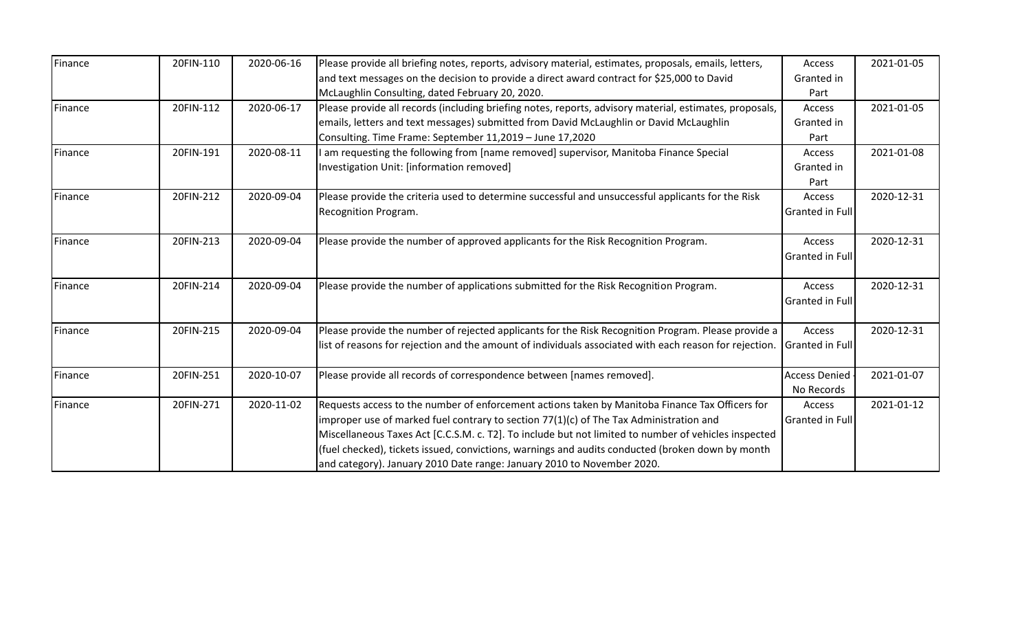| Finance        | 20FIN-110 | 2020-06-16 | Please provide all briefing notes, reports, advisory material, estimates, proposals, emails, letters,   | Access                 | 2021-01-05 |
|----------------|-----------|------------|---------------------------------------------------------------------------------------------------------|------------------------|------------|
|                |           |            | and text messages on the decision to provide a direct award contract for \$25,000 to David              | Granted in             |            |
|                |           |            | McLaughlin Consulting, dated February 20, 2020.                                                         | Part                   |            |
| Finance        | 20FIN-112 | 2020-06-17 | Please provide all records (including briefing notes, reports, advisory material, estimates, proposals, | Access                 | 2021-01-05 |
|                |           |            | emails, letters and text messages) submitted from David McLaughlin or David McLaughlin                  | Granted in             |            |
|                |           |            | Consulting. Time Frame: September 11,2019 - June 17,2020                                                | Part                   |            |
| Finance        | 20FIN-191 | 2020-08-11 | am requesting the following from [name removed] supervisor, Manitoba Finance Special                    | Access                 | 2021-01-08 |
|                |           |            | Investigation Unit: [information removed]                                                               | Granted in             |            |
|                |           |            |                                                                                                         | Part                   |            |
| Finance        | 20FIN-212 | 2020-09-04 | Please provide the criteria used to determine successful and unsuccessful applicants for the Risk       | Access                 | 2020-12-31 |
|                |           |            | Recognition Program.                                                                                    | Granted in Full        |            |
|                |           |            |                                                                                                         |                        |            |
| Finance        | 20FIN-213 | 2020-09-04 | Please provide the number of approved applicants for the Risk Recognition Program.                      | Access                 | 2020-12-31 |
|                |           |            |                                                                                                         | Granted in Full        |            |
|                |           |            |                                                                                                         |                        |            |
| Finance        | 20FIN-214 | 2020-09-04 | Please provide the number of applications submitted for the Risk Recognition Program.                   | Access                 | 2020-12-31 |
|                |           |            |                                                                                                         | Granted in Full        |            |
| Finance        | 20FIN-215 | 2020-09-04 | Please provide the number of rejected applicants for the Risk Recognition Program. Please provide a     | Access                 | 2020-12-31 |
|                |           |            | list of reasons for rejection and the amount of individuals associated with each reason for rejection.  | <b>Granted in Full</b> |            |
|                |           |            |                                                                                                         |                        |            |
| Finance        | 20FIN-251 | 2020-10-07 | Please provide all records of correspondence between [names removed].                                   | <b>Access Denied</b>   | 2021-01-07 |
|                |           |            |                                                                                                         | No Records             |            |
| <b>Finance</b> | 20FIN-271 | 2020-11-02 | Requests access to the number of enforcement actions taken by Manitoba Finance Tax Officers for         | Access                 | 2021-01-12 |
|                |           |            | improper use of marked fuel contrary to section 77(1)(c) of The Tax Administration and                  | <b>Granted in Full</b> |            |
|                |           |            | Miscellaneous Taxes Act [C.C.S.M. c. T2]. To include but not limited to number of vehicles inspected    |                        |            |
|                |           |            | (fuel checked), tickets issued, convictions, warnings and audits conducted (broken down by month        |                        |            |
|                |           |            | and category). January 2010 Date range: January 2010 to November 2020.                                  |                        |            |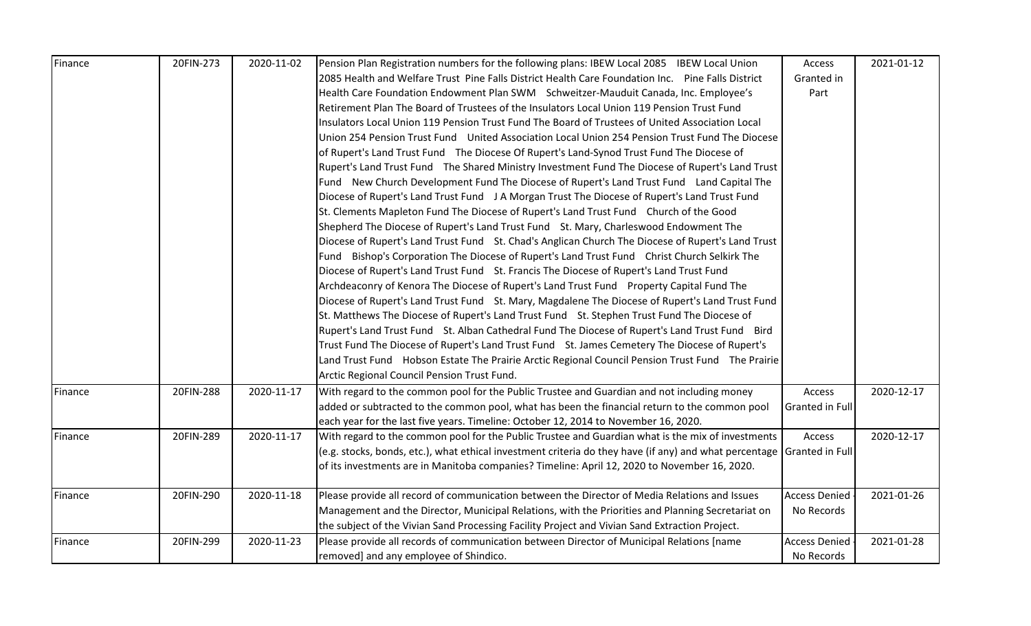| Finance | 20FIN-273 | 2020-11-02 | Pension Plan Registration numbers for the following plans: IBEW Local 2085 IBEW Local Union            | Access               | 2021-01-12 |
|---------|-----------|------------|--------------------------------------------------------------------------------------------------------|----------------------|------------|
|         |           |            | 2085 Health and Welfare Trust Pine Falls District Health Care Foundation Inc. Pine Falls District      | Granted in           |            |
|         |           |            | Health Care Foundation Endowment Plan SWM Schweitzer-Mauduit Canada, Inc. Employee's                   | Part                 |            |
|         |           |            | Retirement Plan The Board of Trustees of the Insulators Local Union 119 Pension Trust Fund             |                      |            |
|         |           |            | Insulators Local Union 119 Pension Trust Fund The Board of Trustees of United Association Local        |                      |            |
|         |           |            | Union 254 Pension Trust Fund United Association Local Union 254 Pension Trust Fund The Diocese         |                      |            |
|         |           |            | of Rupert's Land Trust Fund The Diocese Of Rupert's Land-Synod Trust Fund The Diocese of               |                      |            |
|         |           |            | Rupert's Land Trust Fund The Shared Ministry Investment Fund The Diocese of Rupert's Land Trust        |                      |            |
|         |           |            | Fund New Church Development Fund The Diocese of Rupert's Land Trust Fund Land Capital The              |                      |            |
|         |           |            | Diocese of Rupert's Land Trust Fund J A Morgan Trust The Diocese of Rupert's Land Trust Fund           |                      |            |
|         |           |            | St. Clements Mapleton Fund The Diocese of Rupert's Land Trust Fund Church of the Good                  |                      |            |
|         |           |            | Shepherd The Diocese of Rupert's Land Trust Fund St. Mary, Charleswood Endowment The                   |                      |            |
|         |           |            | Diocese of Rupert's Land Trust Fund St. Chad's Anglican Church The Diocese of Rupert's Land Trust      |                      |            |
|         |           |            | Fund Bishop's Corporation The Diocese of Rupert's Land Trust Fund Christ Church Selkirk The            |                      |            |
|         |           |            | Diocese of Rupert's Land Trust Fund St. Francis The Diocese of Rupert's Land Trust Fund                |                      |            |
|         |           |            | Archdeaconry of Kenora The Diocese of Rupert's Land Trust Fund Property Capital Fund The               |                      |            |
|         |           |            | Diocese of Rupert's Land Trust Fund St. Mary, Magdalene The Diocese of Rupert's Land Trust Fund        |                      |            |
|         |           |            | St. Matthews The Diocese of Rupert's Land Trust Fund St. Stephen Trust Fund The Diocese of             |                      |            |
|         |           |            | Rupert's Land Trust Fund St. Alban Cathedral Fund The Diocese of Rupert's Land Trust Fund Bird         |                      |            |
|         |           |            | Trust Fund The Diocese of Rupert's Land Trust Fund St. James Cemetery The Diocese of Rupert's          |                      |            |
|         |           |            | Land Trust Fund Hobson Estate The Prairie Arctic Regional Council Pension Trust Fund The Prairie       |                      |            |
|         |           |            | Arctic Regional Council Pension Trust Fund.                                                            |                      |            |
| Finance | 20FIN-288 | 2020-11-17 | With regard to the common pool for the Public Trustee and Guardian and not including money             | Access               | 2020-12-17 |
|         |           |            | added or subtracted to the common pool, what has been the financial return to the common pool          | Granted in Full      |            |
|         |           |            | each year for the last five years. Timeline: October 12, 2014 to November 16, 2020.                    |                      |            |
| Finance | 20FIN-289 | 2020-11-17 | With regard to the common pool for the Public Trustee and Guardian what is the mix of investments      | Access               | 2020-12-17 |
|         |           |            | (e.g. stocks, bonds, etc.), what ethical investment criteria do they have (if any) and what percentage | Granted in Full      |            |
|         |           |            | of its investments are in Manitoba companies? Timeline: April 12, 2020 to November 16, 2020.           |                      |            |
|         |           |            |                                                                                                        |                      |            |
| Finance | 20FIN-290 | 2020-11-18 | Please provide all record of communication between the Director of Media Relations and Issues          | <b>Access Denied</b> | 2021-01-26 |
|         |           |            | Management and the Director, Municipal Relations, with the Priorities and Planning Secretariat on      | No Records           |            |
|         |           |            | the subject of the Vivian Sand Processing Facility Project and Vivian Sand Extraction Project.         |                      |            |
| Finance | 20FIN-299 | 2020-11-23 | Please provide all records of communication between Director of Municipal Relations [name              | <b>Access Denied</b> | 2021-01-28 |
|         |           |            | removed] and any employee of Shindico.                                                                 | No Records           |            |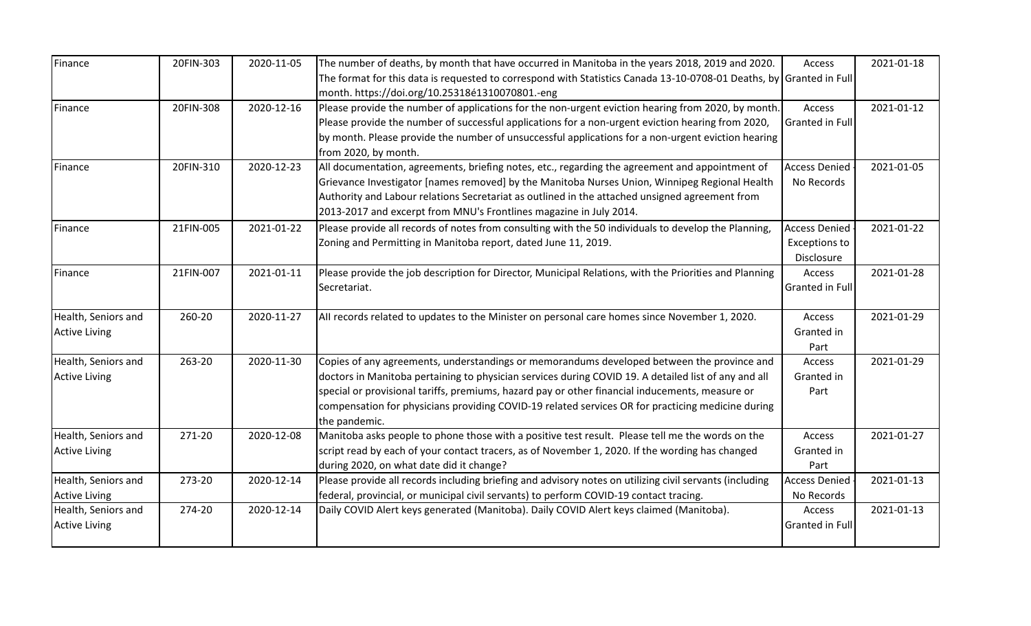| Finance              | 20FIN-303 | 2020-11-05 | The number of deaths, by month that have occurred in Manitoba in the years 2018, 2019 and 2020.                     | Access                 | 2021-01-18 |
|----------------------|-----------|------------|---------------------------------------------------------------------------------------------------------------------|------------------------|------------|
|                      |           |            | The format for this data is requested to correspond with Statistics Canada 13-10-0708-01 Deaths, by Granted in Full |                        |            |
|                      |           |            | month. https://doi.org/10.25318é1310070801.-eng                                                                     |                        |            |
| Finance              | 20FIN-308 | 2020-12-16 | Please provide the number of applications for the non-urgent eviction hearing from 2020, by month.                  | Access                 | 2021-01-12 |
|                      |           |            | Please provide the number of successful applications for a non-urgent eviction hearing from 2020,                   | <b>Granted in Full</b> |            |
|                      |           |            | by month. Please provide the number of unsuccessful applications for a non-urgent eviction hearing                  |                        |            |
|                      |           |            | from 2020, by month.                                                                                                |                        |            |
| Finance              | 20FIN-310 | 2020-12-23 | All documentation, agreements, briefing notes, etc., regarding the agreement and appointment of                     | <b>Access Denied</b>   | 2021-01-05 |
|                      |           |            | Grievance Investigator [names removed] by the Manitoba Nurses Union, Winnipeg Regional Health                       | No Records             |            |
|                      |           |            | Authority and Labour relations Secretariat as outlined in the attached unsigned agreement from                      |                        |            |
|                      |           |            | 2013-2017 and excerpt from MNU's Frontlines magazine in July 2014.                                                  |                        |            |
| Finance              | 21FIN-005 | 2021-01-22 | Please provide all records of notes from consulting with the 50 individuals to develop the Planning,                | <b>Access Denied</b>   | 2021-01-22 |
|                      |           |            | Zoning and Permitting in Manitoba report, dated June 11, 2019.                                                      | <b>Exceptions to</b>   |            |
|                      |           |            |                                                                                                                     | Disclosure             |            |
| Finance              | 21FIN-007 | 2021-01-11 | Please provide the job description for Director, Municipal Relations, with the Priorities and Planning              | Access                 | 2021-01-28 |
|                      |           |            | Secretariat.                                                                                                        | Granted in Full        |            |
|                      |           |            |                                                                                                                     |                        |            |
| Health, Seniors and  | 260-20    | 2020-11-27 | All records related to updates to the Minister on personal care homes since November 1, 2020.                       | Access                 | 2021-01-29 |
| <b>Active Living</b> |           |            |                                                                                                                     | Granted in             |            |
|                      |           |            |                                                                                                                     | Part                   |            |
| Health, Seniors and  | 263-20    | 2020-11-30 | Copies of any agreements, understandings or memorandums developed between the province and                          | Access                 | 2021-01-29 |
| <b>Active Living</b> |           |            | doctors in Manitoba pertaining to physician services during COVID 19. A detailed list of any and all                | Granted in             |            |
|                      |           |            | special or provisional tariffs, premiums, hazard pay or other financial inducements, measure or                     | Part                   |            |
|                      |           |            | compensation for physicians providing COVID-19 related services OR for practicing medicine during                   |                        |            |
|                      |           |            | the pandemic.                                                                                                       |                        |            |
| Health, Seniors and  | 271-20    | 2020-12-08 | Manitoba asks people to phone those with a positive test result. Please tell me the words on the                    | Access                 | 2021-01-27 |
| <b>Active Living</b> |           |            | script read by each of your contact tracers, as of November 1, 2020. If the wording has changed                     | Granted in             |            |
|                      |           |            | during 2020, on what date did it change?                                                                            | Part                   |            |
| Health, Seniors and  | 273-20    | 2020-12-14 | Please provide all records including briefing and advisory notes on utilizing civil servants (including             | <b>Access Denied</b>   | 2021-01-13 |
| <b>Active Living</b> |           |            | federal, provincial, or municipal civil servants) to perform COVID-19 contact tracing.                              | No Records             |            |
| Health, Seniors and  | 274-20    | 2020-12-14 | Daily COVID Alert keys generated (Manitoba). Daily COVID Alert keys claimed (Manitoba).                             | Access                 | 2021-01-13 |
| <b>Active Living</b> |           |            |                                                                                                                     | <b>Granted in Full</b> |            |
|                      |           |            |                                                                                                                     |                        |            |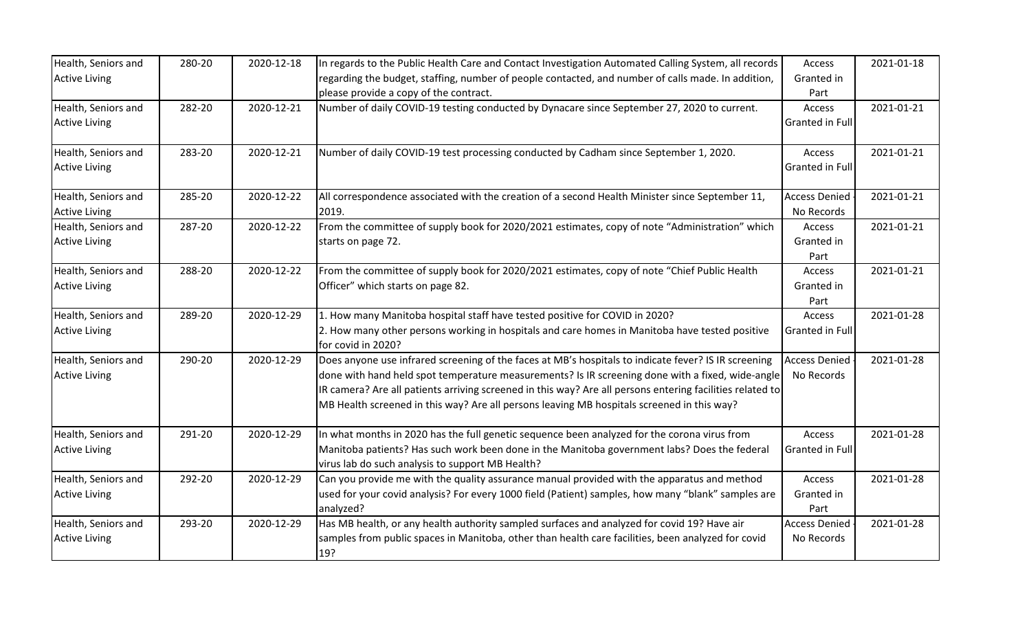| Health, Seniors and  | 280-20 | 2020-12-18 | In regards to the Public Health Care and Contact Investigation Automated Calling System, all records                 | Access               | 2021-01-18 |
|----------------------|--------|------------|----------------------------------------------------------------------------------------------------------------------|----------------------|------------|
| <b>Active Living</b> |        |            | regarding the budget, staffing, number of people contacted, and number of calls made. In addition,                   | Granted in           |            |
|                      |        |            | please provide a copy of the contract.                                                                               | Part                 |            |
| Health, Seniors and  | 282-20 | 2020-12-21 | Number of daily COVID-19 testing conducted by Dynacare since September 27, 2020 to current.                          | Access               | 2021-01-21 |
| <b>Active Living</b> |        |            |                                                                                                                      | Granted in Full      |            |
|                      |        |            |                                                                                                                      |                      |            |
| Health, Seniors and  | 283-20 | 2020-12-21 | Number of daily COVID-19 test processing conducted by Cadham since September 1, 2020.                                | Access               | 2021-01-21 |
| <b>Active Living</b> |        |            |                                                                                                                      | Granted in Full      |            |
| Health, Seniors and  | 285-20 | 2020-12-22 | All correspondence associated with the creation of a second Health Minister since September 11,                      | <b>Access Denied</b> | 2021-01-21 |
| <b>Active Living</b> |        |            | 2019.                                                                                                                | No Records           |            |
| Health, Seniors and  | 287-20 | 2020-12-22 | From the committee of supply book for 2020/2021 estimates, copy of note "Administration" which                       | Access               | 2021-01-21 |
| <b>Active Living</b> |        |            | starts on page 72.                                                                                                   | Granted in           |            |
|                      |        |            |                                                                                                                      | Part                 |            |
| Health, Seniors and  | 288-20 | 2020-12-22 | From the committee of supply book for 2020/2021 estimates, copy of note "Chief Public Health                         | Access               | 2021-01-21 |
| <b>Active Living</b> |        |            | Officer" which starts on page 82.                                                                                    | Granted in           |            |
|                      |        |            |                                                                                                                      | Part                 |            |
| Health, Seniors and  | 289-20 | 2020-12-29 | 1. How many Manitoba hospital staff have tested positive for COVID in 2020?                                          | Access               | 2021-01-28 |
| <b>Active Living</b> |        |            | 2. How many other persons working in hospitals and care homes in Manitoba have tested positive<br>for covid in 2020? | Granted in Full      |            |
| Health, Seniors and  | 290-20 | 2020-12-29 | Does anyone use infrared screening of the faces at MB's hospitals to indicate fever? IS IR screening                 | <b>Access Denied</b> | 2021-01-28 |
| <b>Active Living</b> |        |            | done with hand held spot temperature measurements? Is IR screening done with a fixed, wide-angle                     | No Records           |            |
|                      |        |            | IR camera? Are all patients arriving screened in this way? Are all persons entering facilities related to            |                      |            |
|                      |        |            | MB Health screened in this way? Are all persons leaving MB hospitals screened in this way?                           |                      |            |
|                      |        |            |                                                                                                                      |                      |            |
| Health, Seniors and  | 291-20 | 2020-12-29 | In what months in 2020 has the full genetic sequence been analyzed for the corona virus from                         | Access               | 2021-01-28 |
| <b>Active Living</b> |        |            | Manitoba patients? Has such work been done in the Manitoba government labs? Does the federal                         | Granted in Full      |            |
|                      |        |            | virus lab do such analysis to support MB Health?                                                                     |                      |            |
| Health, Seniors and  | 292-20 | 2020-12-29 | Can you provide me with the quality assurance manual provided with the apparatus and method                          | Access               | 2021-01-28 |
| <b>Active Living</b> |        |            | used for your covid analysis? For every 1000 field (Patient) samples, how many "blank" samples are                   | Granted in           |            |
|                      |        |            | analyzed?                                                                                                            | Part                 |            |
| Health, Seniors and  | 293-20 | 2020-12-29 | Has MB health, or any health authority sampled surfaces and analyzed for covid 19? Have air                          | <b>Access Denied</b> | 2021-01-28 |
| <b>Active Living</b> |        |            | samples from public spaces in Manitoba, other than health care facilities, been analyzed for covid                   | No Records           |            |
|                      |        |            | 19?                                                                                                                  |                      |            |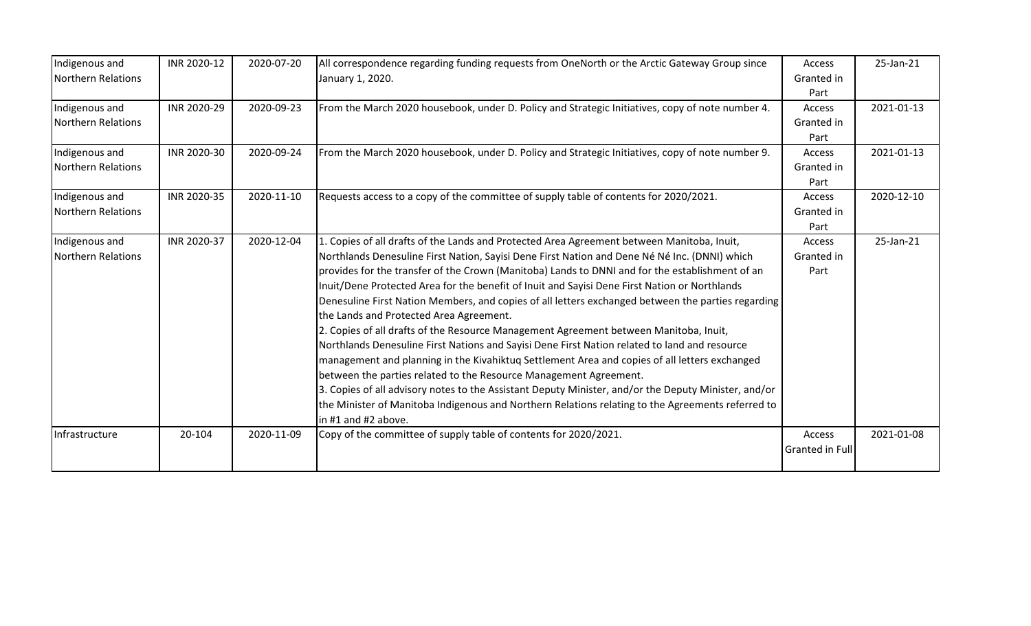| Indigenous and                       | INR 2020-12 | 2020-07-20 | All correspondence regarding funding requests from OneNorth or the Arctic Gateway Group since                                                                                                                                                                                                                                                                                                                                                                                                                                                                                                                                                                                                                                                                                                                                                                                                                                                                                                                                                                                                                                                        | Access                       | 25-Jan-21  |
|--------------------------------------|-------------|------------|------------------------------------------------------------------------------------------------------------------------------------------------------------------------------------------------------------------------------------------------------------------------------------------------------------------------------------------------------------------------------------------------------------------------------------------------------------------------------------------------------------------------------------------------------------------------------------------------------------------------------------------------------------------------------------------------------------------------------------------------------------------------------------------------------------------------------------------------------------------------------------------------------------------------------------------------------------------------------------------------------------------------------------------------------------------------------------------------------------------------------------------------------|------------------------------|------------|
| Northern Relations                   |             |            | January 1, 2020.                                                                                                                                                                                                                                                                                                                                                                                                                                                                                                                                                                                                                                                                                                                                                                                                                                                                                                                                                                                                                                                                                                                                     | Granted in<br>Part           |            |
| Indigenous and<br>Northern Relations | INR 2020-29 | 2020-09-23 | From the March 2020 housebook, under D. Policy and Strategic Initiatives, copy of note number 4.                                                                                                                                                                                                                                                                                                                                                                                                                                                                                                                                                                                                                                                                                                                                                                                                                                                                                                                                                                                                                                                     | Access<br>Granted in<br>Part | 2021-01-13 |
| Indigenous and<br>Northern Relations | INR 2020-30 | 2020-09-24 | From the March 2020 housebook, under D. Policy and Strategic Initiatives, copy of note number 9.                                                                                                                                                                                                                                                                                                                                                                                                                                                                                                                                                                                                                                                                                                                                                                                                                                                                                                                                                                                                                                                     | Access<br>Granted in<br>Part | 2021-01-13 |
| Indigenous and<br>Northern Relations | INR 2020-35 | 2020-11-10 | Requests access to a copy of the committee of supply table of contents for 2020/2021.                                                                                                                                                                                                                                                                                                                                                                                                                                                                                                                                                                                                                                                                                                                                                                                                                                                                                                                                                                                                                                                                | Access<br>Granted in<br>Part | 2020-12-10 |
| Indigenous and<br>Northern Relations | INR 2020-37 | 2020-12-04 | 1. Copies of all drafts of the Lands and Protected Area Agreement between Manitoba, Inuit,<br>Northlands Denesuline First Nation, Sayisi Dene First Nation and Dene Né Né Inc. (DNNI) which<br>provides for the transfer of the Crown (Manitoba) Lands to DNNI and for the establishment of an<br>Inuit/Dene Protected Area for the benefit of Inuit and Sayisi Dene First Nation or Northlands<br>Denesuline First Nation Members, and copies of all letters exchanged between the parties regarding<br>the Lands and Protected Area Agreement.<br>2. Copies of all drafts of the Resource Management Agreement between Manitoba, Inuit,<br>Northlands Denesuline First Nations and Sayisi Dene First Nation related to land and resource<br>management and planning in the Kivahiktuq Settlement Area and copies of all letters exchanged<br>between the parties related to the Resource Management Agreement.<br>3. Copies of all advisory notes to the Assistant Deputy Minister, and/or the Deputy Minister, and/or<br>the Minister of Manitoba Indigenous and Northern Relations relating to the Agreements referred to<br>in #1 and #2 above. | Access<br>Granted in<br>Part | 25-Jan-21  |
| Infrastructure                       | 20-104      | 2020-11-09 | Copy of the committee of supply table of contents for 2020/2021.                                                                                                                                                                                                                                                                                                                                                                                                                                                                                                                                                                                                                                                                                                                                                                                                                                                                                                                                                                                                                                                                                     | Access<br>Granted in Full    | 2021-01-08 |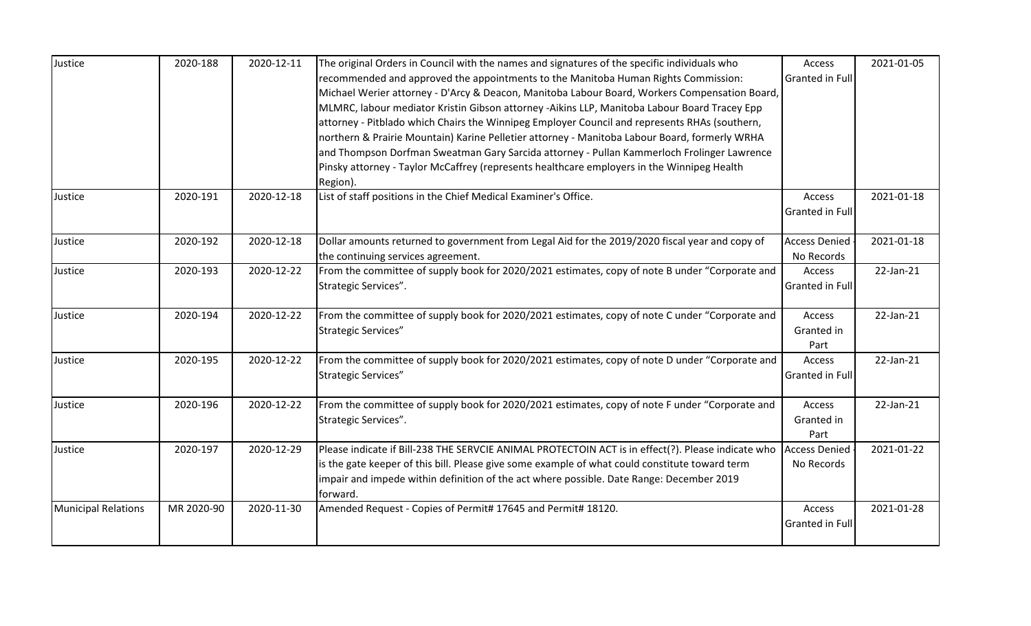| Justice                    | 2020-188   | 2020-12-11 | The original Orders in Council with the names and signatures of the specific individuals who         | Access                 | 2021-01-05      |
|----------------------------|------------|------------|------------------------------------------------------------------------------------------------------|------------------------|-----------------|
|                            |            |            | recommended and approved the appointments to the Manitoba Human Rights Commission:                   | Granted in Full        |                 |
|                            |            |            | Michael Werier attorney - D'Arcy & Deacon, Manitoba Labour Board, Workers Compensation Board,        |                        |                 |
|                            |            |            | MLMRC, labour mediator Kristin Gibson attorney -Aikins LLP, Manitoba Labour Board Tracey Epp         |                        |                 |
|                            |            |            | attorney - Pitblado which Chairs the Winnipeg Employer Council and represents RHAs (southern,        |                        |                 |
|                            |            |            | northern & Prairie Mountain) Karine Pelletier attorney - Manitoba Labour Board, formerly WRHA        |                        |                 |
|                            |            |            | and Thompson Dorfman Sweatman Gary Sarcida attorney - Pullan Kammerloch Frolinger Lawrence           |                        |                 |
|                            |            |            | Pinsky attorney - Taylor McCaffrey (represents healthcare employers in the Winnipeg Health           |                        |                 |
|                            |            |            | Region).                                                                                             |                        |                 |
| Justice                    | 2020-191   | 2020-12-18 | List of staff positions in the Chief Medical Examiner's Office.                                      | Access                 | 2021-01-18      |
|                            |            |            |                                                                                                      | <b>Granted in Full</b> |                 |
| Justice                    | 2020-192   | 2020-12-18 | Dollar amounts returned to government from Legal Aid for the 2019/2020 fiscal year and copy of       | <b>Access Denied</b>   | 2021-01-18      |
|                            |            |            | the continuing services agreement.                                                                   | No Records             |                 |
| Justice                    | 2020-193   | 2020-12-22 | From the committee of supply book for 2020/2021 estimates, copy of note B under "Corporate and       | Access                 | 22-Jan-21       |
|                            |            |            | Strategic Services".                                                                                 | Granted in Full        |                 |
| Justice                    | 2020-194   | 2020-12-22 | From the committee of supply book for 2020/2021 estimates, copy of note C under "Corporate and       | Access                 | 22-Jan-21       |
|                            |            |            | Strategic Services"                                                                                  | Granted in<br>Part     |                 |
| Justice                    | 2020-195   | 2020-12-22 | From the committee of supply book for 2020/2021 estimates, copy of note D under "Corporate and       | Access                 | $22$ -Jan- $21$ |
|                            |            |            | <b>Strategic Services"</b>                                                                           | Granted in Full        |                 |
| Justice                    | 2020-196   | 2020-12-22 | From the committee of supply book for 2020/2021 estimates, copy of note F under "Corporate and       | Access                 | 22-Jan-21       |
|                            |            |            | Strategic Services".                                                                                 | Granted in             |                 |
|                            |            |            |                                                                                                      | Part                   |                 |
| Justice                    | 2020-197   | 2020-12-29 | Please indicate if Bill-238 THE SERVCIE ANIMAL PROTECTOIN ACT is in effect(?). Please indicate who   | <b>Access Denied</b>   | 2021-01-22      |
|                            |            |            | is the gate keeper of this bill. Please give some example of what could constitute toward term       | No Records             |                 |
|                            |            |            | impair and impede within definition of the act where possible. Date Range: December 2019<br>forward. |                        |                 |
| <b>Municipal Relations</b> | MR 2020-90 | 2020-11-30 | Amended Request - Copies of Permit# 17645 and Permit# 18120.                                         | Access                 | 2021-01-28      |
|                            |            |            |                                                                                                      | Granted in Full        |                 |